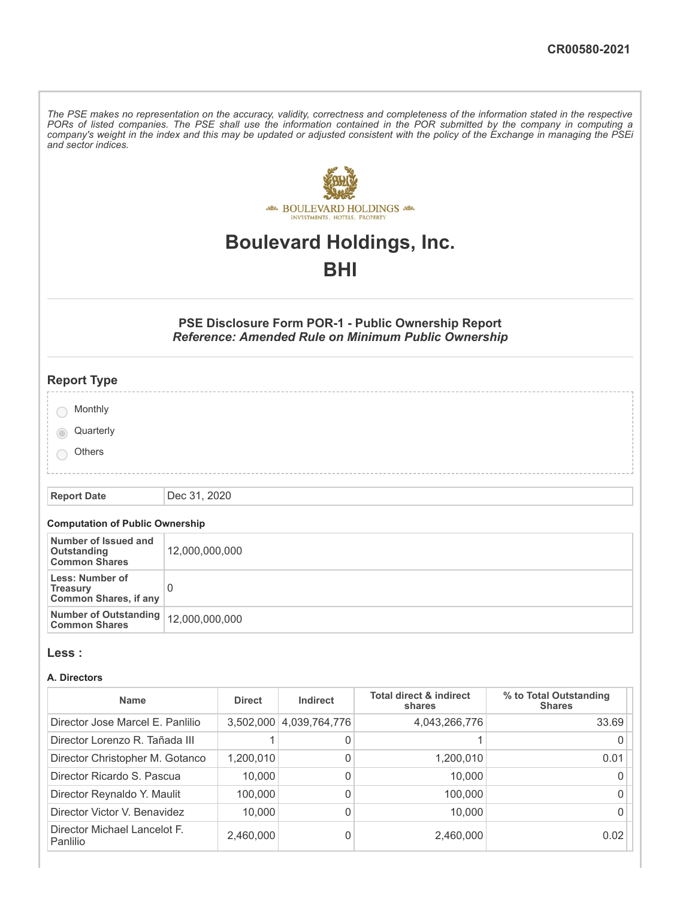The PSE makes no representation on the accuracy, validity, correctness and completeness of the information stated in the respective PORs of listed companies. The PSE shall use the information contained in the POR submitted by the company in computing a company's weight in the index and this may be updated or adjusted consistent with the policy of the Exchange in managing the PSEi *and sector indices.*



# **Boulevard Holdings, Inc.**

# **BHI**

# **PSE Disclosure Form POR-1 - Public Ownership Report** *Reference: Amended Rule on Minimum Public Ownership*

| <b>Report Type</b> |  |
|--------------------|--|
| Monthly            |  |
| Quarterly          |  |
| Others             |  |
|                    |  |

**Report Date** Dec 31, 2020

# **Computation of Public Ownership**

| Number of Issued and<br>Outstanding<br><b>Common Shares</b>        | 12,000,000,000 |
|--------------------------------------------------------------------|----------------|
| Less: Number of<br><b>Treasury</b><br><b>Common Shares, if any</b> |                |
| Number of Outstanding   12,000,000,000<br><b>Common Shares</b>     |                |

### **Less :**

#### **A. Directors**

| <b>Name</b>                              | <b>Direct</b> | Indirect      | <b>Total direct &amp; indirect</b><br>shares | % to Total Outstanding<br><b>Shares</b> |
|------------------------------------------|---------------|---------------|----------------------------------------------|-----------------------------------------|
| Director Jose Marcel E. Panlilio         | 3,502,000     | 4,039,764,776 | 4,043,266,776                                | 33.69                                   |
| Director Lorenzo R. Tañada III           |               | 0             |                                              |                                         |
| Director Christopher M. Gotanco          | 1,200,010     | 0             | 1,200,010                                    | 0.01                                    |
| Director Ricardo S. Pascua               | 10,000        | 0             | 10,000                                       |                                         |
| Director Reynaldo Y. Maulit              | 100.000       | 0             | 100,000                                      |                                         |
| Director Victor V. Benavidez             | 10,000        | 0             | 10,000                                       |                                         |
| Director Michael Lancelot F.<br>Panlilio | 2,460,000     | 0             | 2,460,000                                    | 0.02                                    |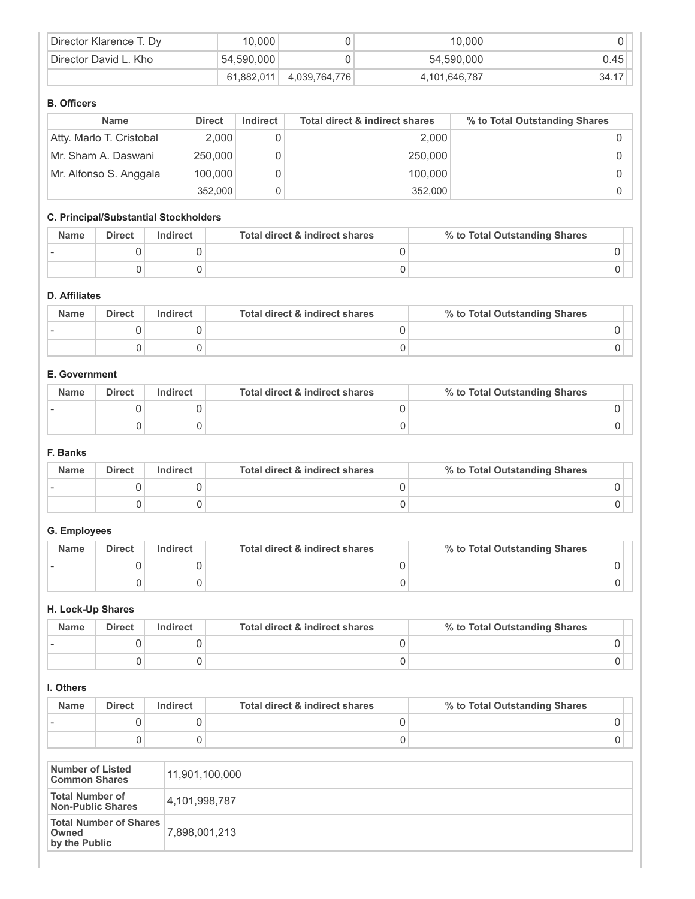| Director Klarence T. Dy | 10,000     |               | 10,000        |            |
|-------------------------|------------|---------------|---------------|------------|
| Director David L. Kho   | 54,590,000 |               | 54,590,000    | $0.45$ $ $ |
|                         | 61.882.011 | 4,039,764,776 | 4,101,646,787 | 34.17      |

## **B. Officers**

| <b>Name</b>              | <b>Direct</b> | Indirect | <b>Total direct &amp; indirect shares</b> | % to Total Outstanding Shares |
|--------------------------|---------------|----------|-------------------------------------------|-------------------------------|
| Atty. Marlo T. Cristobal | 2,000         |          | 2.000                                     |                               |
| Mr. Sham A. Daswani      | 250,000       |          | 250,000                                   |                               |
| Mr. Alfonso S. Anggala   | 100,000       |          | 100.000                                   |                               |
|                          | 352,000       |          | 352,000                                   |                               |

# **C. Principal/Substantial Stockholders**

| <b>Name</b> | Direct | Indirect | Total direct & indirect shares | % to Total Outstanding Shares |
|-------------|--------|----------|--------------------------------|-------------------------------|
|             |        |          |                                |                               |
|             |        |          |                                |                               |

# **D. Affiliates**

| <b>Name</b> | <b>Direct</b> | Indirect | Total direct & indirect shares | % to Total Outstanding Shares |
|-------------|---------------|----------|--------------------------------|-------------------------------|
|             |               |          |                                |                               |
|             |               |          |                                |                               |

## **E. Government**

| <b>Name</b> | <b>Direct</b> | Indirect | Total direct & indirect shares | % to Total Outstanding Shares |
|-------------|---------------|----------|--------------------------------|-------------------------------|
|             |               |          |                                |                               |
|             |               |          |                                |                               |

### **F. Banks**

| <b>Name</b> | Direct | Indirect | Total direct & indirect shares | % to Total Outstanding Shares |
|-------------|--------|----------|--------------------------------|-------------------------------|
|             |        |          |                                |                               |
|             |        |          |                                |                               |

## **G. Employees**

| <b>Name</b> | <b>Direct</b> | Indirect | Total direct & indirect shares | % to Total Outstanding Shares |
|-------------|---------------|----------|--------------------------------|-------------------------------|
|             |               |          |                                |                               |
|             |               |          |                                |                               |

## **H. Lock-Up Shares**

| <b>Name</b> | <b>Direct</b> | <b>Indirect</b> | Total direct & indirect shares | % to Total Outstanding Shares |
|-------------|---------------|-----------------|--------------------------------|-------------------------------|
|             |               |                 |                                |                               |
|             |               |                 |                                |                               |

## **I. Others**

| <b>Name</b> | <b>Direct</b> | Indirect | Total direct & indirect shares | % to Total Outstanding Shares |
|-------------|---------------|----------|--------------------------------|-------------------------------|
|             |               |          |                                |                               |
|             |               |          |                                |                               |

| Number of Listed<br><b>Common Shares</b>                | 11,901,100,000 |
|---------------------------------------------------------|----------------|
| <b>Total Number of</b><br><b>Non-Public Shares</b>      | 4,101,998,787  |
| <b>Total Number of Shares</b><br>Owned<br>by the Public | 7,898,001,213  |